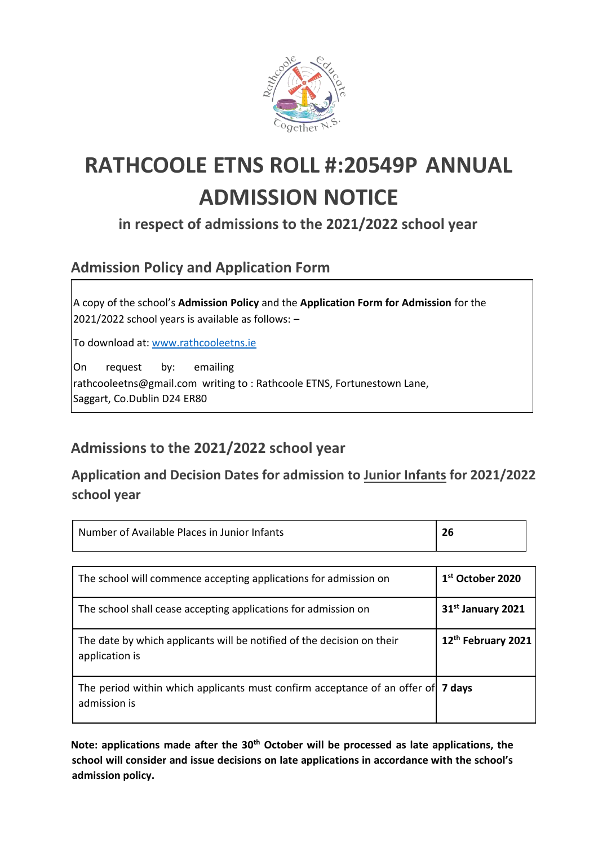

# **RATHCOOLE ETNS ROLL #:20549P ANNUAL ADMISSION NOTICE**

**in respect of admissions to the 2021/2022 school year** 

## **Admission Policy and Application Form**

A copy of the school's **Admission Policy** and the **Application Form for Admission** for the 2021/2022 school years is available as follows: –

To download at: [www.rathcooleetns.ie](http://www.rathcooleetns.ie/)

On request by: emailing rathcooleetns@gmail.com writing to : Rathcoole ETNS, Fortunestown Lane, Saggart, Co.Dublin D24 ER80

### **Admissions to the 2021/2022 school year**

**Application and Decision Dates for admission to Junior Infants for 2021/2022 school year** 

| Number of Available Places in Junior Infants                                                     | 26                           |
|--------------------------------------------------------------------------------------------------|------------------------------|
|                                                                                                  |                              |
| The school will commence accepting applications for admission on                                 | 1 <sup>st</sup> October 2020 |
| The school shall cease accepting applications for admission on                                   | 31st January 2021            |
| The date by which applicants will be notified of the decision on their<br>application is         | 12th February 2021           |
| The period within which applicants must confirm acceptance of an offer of 7 days<br>admission is |                              |

**Note: applications made after the 30th October will be processed as late applications, the school will consider and issue decisions on late applications in accordance with the school's admission policy.**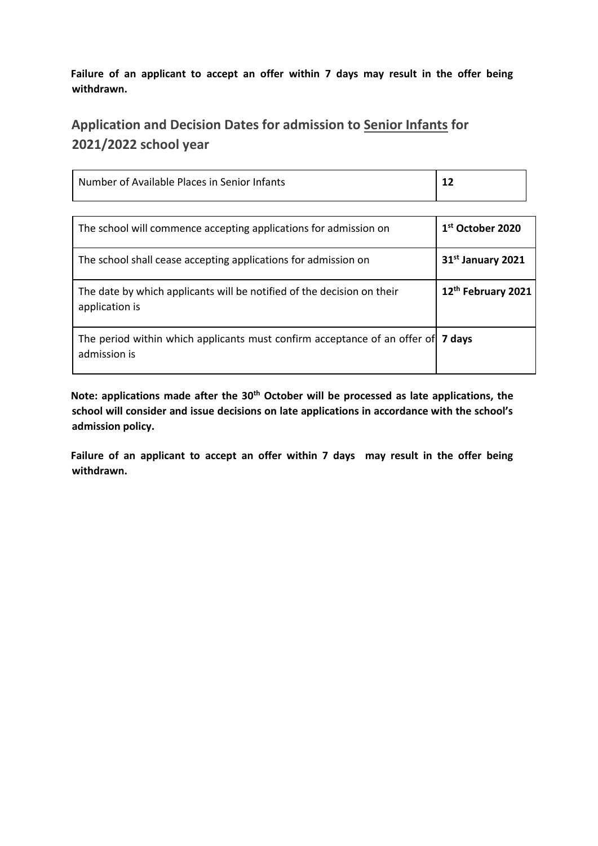**Failure of an applicant to accept an offer within 7 days may result in the offer being withdrawn.** 

### **Application and Decision Dates for admission to Senior Infants for 2021/2022 school year**

| Number of Available Places in Senior Infants |  |
|----------------------------------------------|--|
|                                              |  |

| The school will commence accepting applications for admission on                                 | $1st$ October 2020            |
|--------------------------------------------------------------------------------------------------|-------------------------------|
| The school shall cease accepting applications for admission on                                   | 31 <sup>st</sup> January 2021 |
| The date by which applicants will be notified of the decision on their<br>application is         | 12th February 2021            |
| The period within which applicants must confirm acceptance of an offer of 7 days<br>admission is |                               |

**Note: applications made after the 30th October will be processed as late applications, the school will consider and issue decisions on late applications in accordance with the school's admission policy.** 

**Failure of an applicant to accept an offer within 7 days may result in the offer being withdrawn.**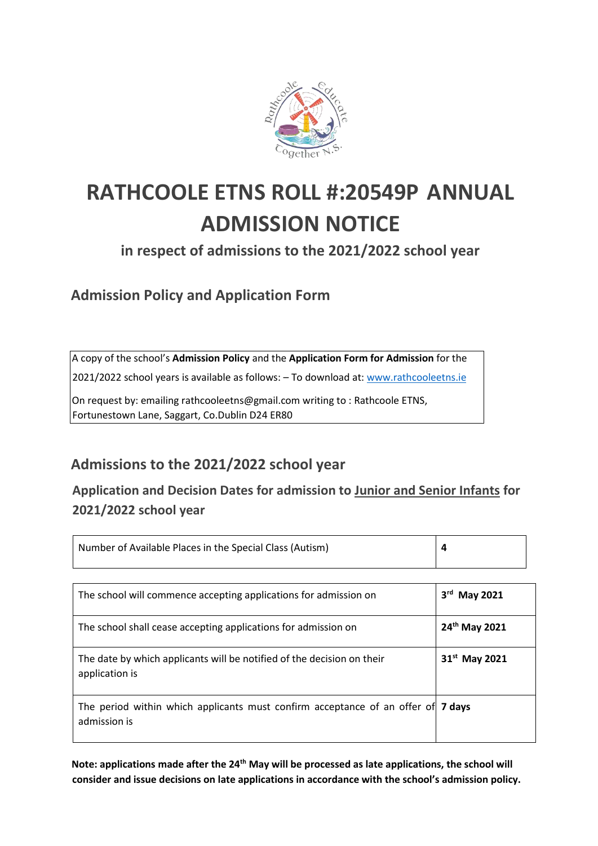

# **RATHCOOLE ETNS ROLL #:20549P ANNUAL ADMISSION NOTICE**

**in respect of admissions to the 2021/2022 school year** 

**Admission Policy and Application Form** 

A copy of the school's **Admission Policy** and the **Application Form for Admission** for the

2021/2022 school years is available as follows: – To download at: [www.rathcooleetns.ie](http://www.rathcooleetns.ie/) 

On request by: emailing rathcooleetns@gmail.com writing to : Rathcoole ETNS, Fortunestown Lane, Saggart, Co.Dublin D24 ER80

## **Admissions to the 2021/2022 school year**

**Application and Decision Dates for admission to Junior and Senior Infants for 2021/2022 school year** 

| Number of Available Places in the Special Class (Autism)                                         | 4                                  |
|--------------------------------------------------------------------------------------------------|------------------------------------|
|                                                                                                  |                                    |
| The school will commence accepting applications for admission on                                 | 3 <sup>rd</sup><br><b>May 2021</b> |
| The school shall cease accepting applications for admission on                                   | 24th May 2021                      |
| The date by which applicants will be notified of the decision on their<br>application is         | 31 <sup>st</sup> May 2021          |
| The period within which applicants must confirm acceptance of an offer of 7 days<br>admission is |                                    |

**Note: applications made after the 24th May will be processed as late applications, the school will consider and issue decisions on late applications in accordance with the school's admission policy.**